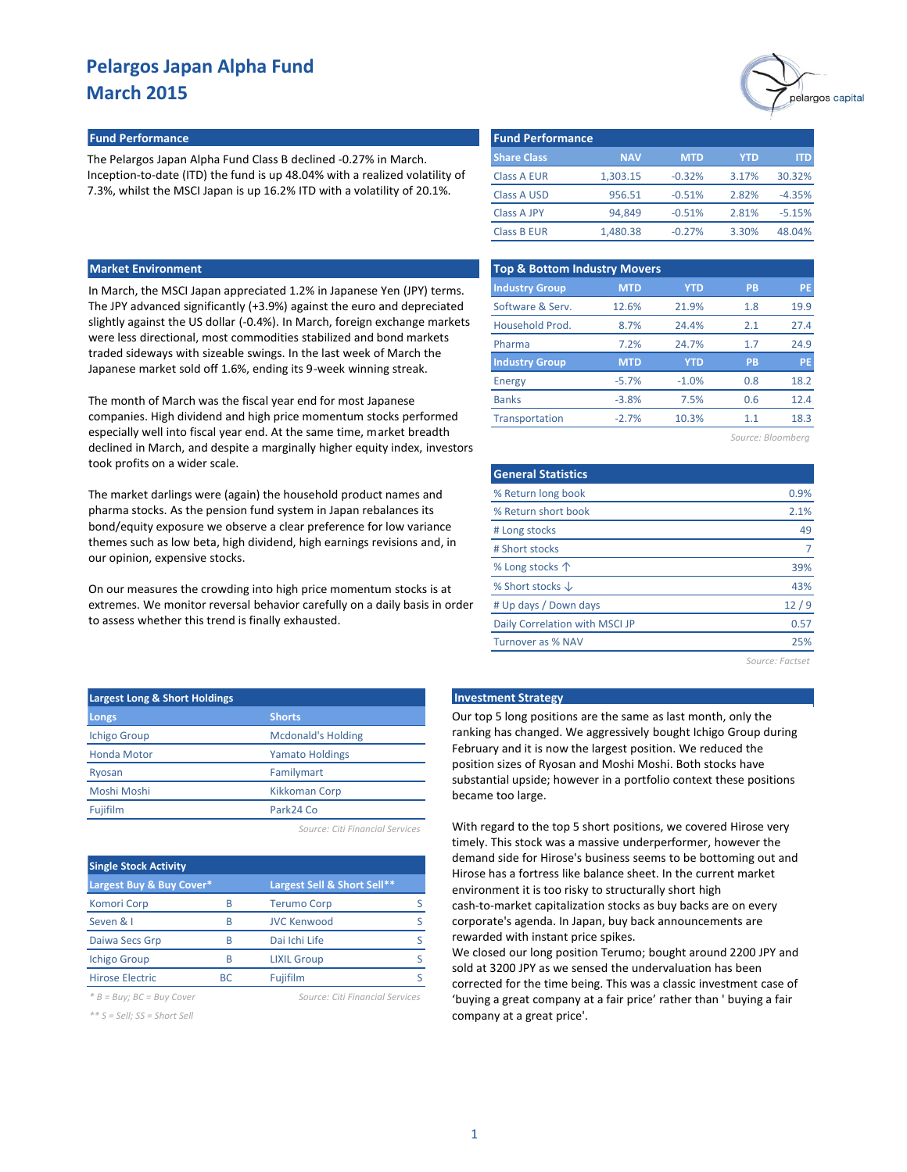

### **Fund Performance Fund Performance**

The Pelargos Japan Alpha Fund Class B declined -0.27% in March. Inception-to-date (ITD) the fund is up 48.04% with a realized volatility of 7.3%, whilst the MSCI Japan is up 16.2% ITD with a volatility of 20.1%.

| <b>Market Environment</b> |  |
|---------------------------|--|
|                           |  |

The month of March was the fiscal year end for most Japanese companies. High dividend and high price momentum stocks performed especially well into fiscal year end. At the same time, market breadth declined in March, and despite a marginally higher equity index, investors took profits on a wider scale.

The market darlings were (again) the household product names and pharma stocks. As the pension fund system in Japan rebalances its bond/equity exposure we observe a clear preference for low variance themes such as low beta, high dividend, high earnings revisions and, in our opinion, expensive stocks.

On our measures the crowding into high price momentum stocks is at extremes. We monitor reversal behavior carefully on a daily basis in order to assess whether this trend is finally exhausted.

| <b>Fund Performance</b> |            |            |            |          |
|-------------------------|------------|------------|------------|----------|
| <b>Share Class</b>      | <b>NAV</b> | <b>MTD</b> | <b>YTD</b> | ITD.     |
| Class A EUR             | 1,303.15   | $-0.32%$   | 3.17%      | 30.32%   |
| <b>Class A USD</b>      | 956.51     | $-0.51%$   | 2.82%      | $-4.35%$ |
| <b>Class A JPY</b>      | 94.849     | $-0.51%$   | 2.81%      | $-5.15%$ |
| <b>Class B EUR</b>      | 1.480.38   | $-0.27%$   | 3.30%      | 48.04%   |

| <b>Market Environment</b>                                                                                                               | <b>Top &amp; Bottom Industry Movers</b> |            |            |           |      |  |
|-----------------------------------------------------------------------------------------------------------------------------------------|-----------------------------------------|------------|------------|-----------|------|--|
| In March, the MSCI Japan appreciated 1.2% in Japanese Yen (JPY) terms.                                                                  | <b>Industry Group</b>                   | <b>MTD</b> | <b>YTD</b> | <b>PB</b> | PE   |  |
| The JPY advanced significantly (+3.9%) against the euro and depreciated                                                                 | Software & Serv.                        | 12.6%      | 21.9%      | 1.8       | 19.9 |  |
| slightly against the US dollar (-0.4%). In March, foreign exchange markets                                                              | Household Prod.                         | 8.7%       | 24.4%      | 2.1       | 27.4 |  |
| were less directional, most commodities stabilized and bond markets                                                                     | Pharma                                  | 7.2%       | 24.7%      | 1.7       | 24.9 |  |
| traded sideways with sizeable swings. In the last week of March the<br>Japanese market sold off 1.6%, ending its 9-week winning streak. | <b>Industry Group</b>                   | <b>MTD</b> | <b>YTD</b> | <b>PB</b> | PE   |  |
|                                                                                                                                         | Energy                                  | $-5.7%$    | $-1.0%$    | 0.8       | 18.2 |  |
| The month of March was the fiscal year end for most Japanese                                                                            | <b>Banks</b>                            | $-3.8%$    | 7.5%       | 0.6       | 12.4 |  |
| companies. High dividend and high price momentum stocks performed                                                                       | Transportation                          | $-2.7%$    | 10.3%      | 1.1       | 18.3 |  |
| especially well into fiscal vear and At the same time market breadth                                                                    |                                         |            |            |           |      |  |

| Source: Bloombera |  |  |  |  |  |  |  |
|-------------------|--|--|--|--|--|--|--|
|-------------------|--|--|--|--|--|--|--|

| <b>General Statistics</b>      |      |
|--------------------------------|------|
| % Return long book             | 0.9% |
| % Return short book            | 2.1% |
| # Long stocks                  | 49   |
| # Short stocks                 |      |
| % Long stocks $\uparrow$       | 39%  |
| % Short stocks $\downarrow$    | 43%  |
| # Up days / Down days          | 12/9 |
| Daily Correlation with MSCI JP | 0.57 |
| Turnover as % NAV              | 25%  |
|                                |      |

*Source: Factset*

| <b>Largest Long &amp; Short Holdings</b> |                           |  |  |  |  |
|------------------------------------------|---------------------------|--|--|--|--|
| Longs                                    | <b>Shorts</b>             |  |  |  |  |
| <b>Ichigo Group</b>                      | <b>Mcdonald's Holding</b> |  |  |  |  |
| <b>Honda Motor</b>                       | <b>Yamato Holdings</b>    |  |  |  |  |
| Ryosan                                   | Familymart                |  |  |  |  |
| Moshi Moshi                              | <b>Kikkoman Corp</b>      |  |  |  |  |
| Fujifilm                                 | Park24 Co                 |  |  |  |  |
|                                          |                           |  |  |  |  |

| Source: Citi Financial Services |  |  |  |  |  |
|---------------------------------|--|--|--|--|--|
|---------------------------------|--|--|--|--|--|

| <b>Single Stock Activity</b> |           |                             |  |  |  |  |
|------------------------------|-----------|-----------------------------|--|--|--|--|
| Largest Buy & Buy Cover*     |           | Largest Sell & Short Sell** |  |  |  |  |
| <b>Komori Corp</b>           | R         | <b>Terumo Corp</b>          |  |  |  |  |
| Seven & I                    | R         | <b>JVC Kenwood</b>          |  |  |  |  |
| Daiwa Secs Grp               | R         | Dai Ichi Life               |  |  |  |  |
| <b>Ichigo Group</b>          | R         | <b>LIXIL Group</b>          |  |  |  |  |
| <b>Hirose Electric</b>       | <b>BC</b> | Fujifilm                    |  |  |  |  |

*\* B = Buy; BC = Buy Cover Source: Citi Financial Services*

*\*\* S = Sell; SS = Short Sell*

# **Late Investment Strategy**

Our top 5 long positions are the same as last month, only the ranking has changed. We aggressively bought Ichigo Group during February and it is now the largest position. We reduced the position sizes of Ryosan and Moshi Moshi. Both stocks have substantial upside; however in a portfolio context these positions became too large.

With regard to the top 5 short positions, we covered Hirose very timely. This stock was a massive underperformer, however the demand side for Hirose's business seems to be bottoming out and Hirose has a fortress like balance sheet. In the current market environment it is too risky to structurally short high cash-to-market capitalization stocks as buy backs are on every corporate's agenda. In Japan, buy back announcements are rewarded with instant price spikes.

We closed our long position Terumo; bought around 2200 JPY and sold at 3200 JPY as we sensed the undervaluation has been corrected for the time being. This was a classic investment case of 'buying a great company at a fair price' rather than ' buying a fair company at a great price'.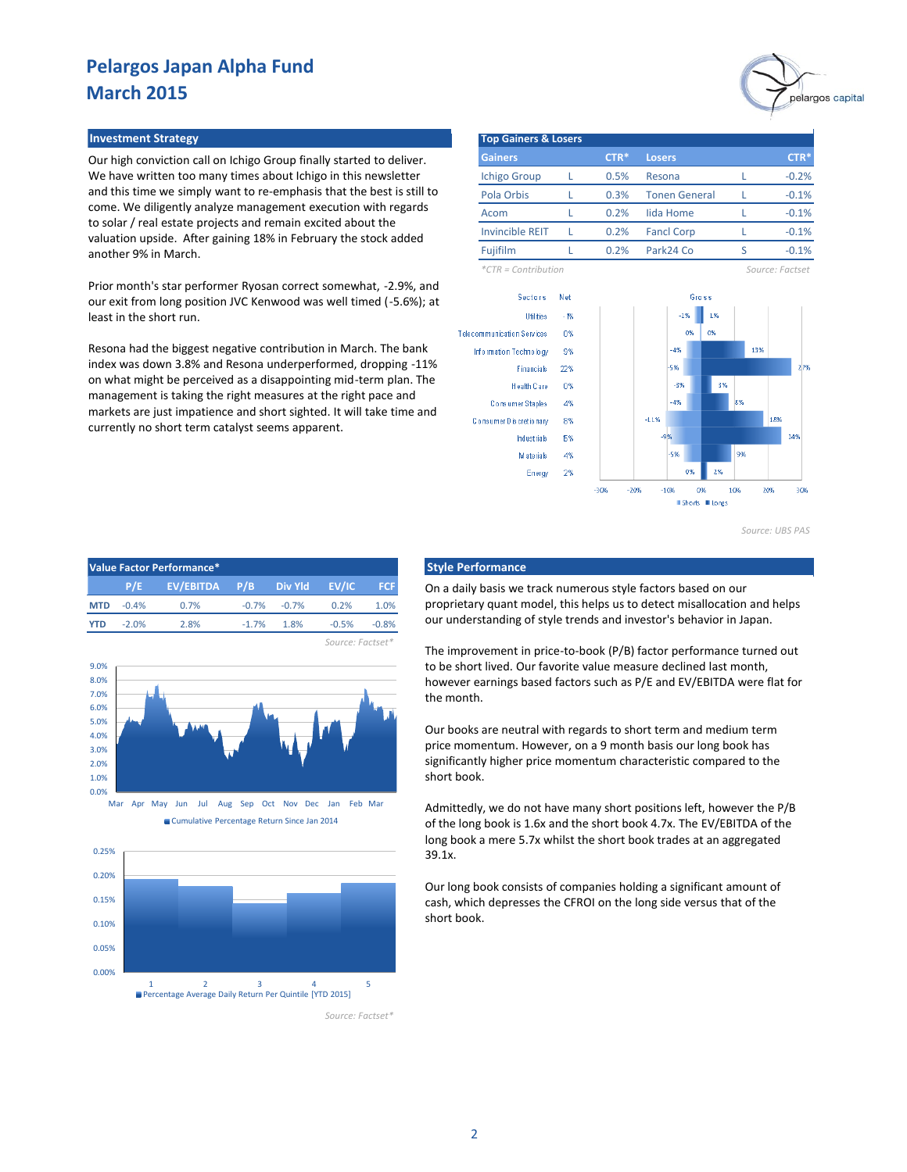### **Investment Strategy Top Gainers & Losers**

Our high conviction call on Ichigo Group finally started to deliver. We have written too many times about Ichigo in this newsletter and this time we simply want to re-emphasis that the best is still to come. We diligently analyze management execution with regards to solar / real estate projects and remain excited about the valuation upside. After gaining 18% in February the stock added another 9% in March.

Prior month's star performer Ryosan correct somewhat, -2.9%, and our exit from long position JVC Kenwood was well timed (-5.6%); at least in the short run.

Resona had the biggest negative contribution in March. The bank index was down 3.8% and Resona underperformed, dropping -11% on what might be perceived as a disappointing mid-term plan. The management is taking the right measures at the right pace and markets are just impatience and short sighted. It will take time and currently no short term catalyst seems apparent.



**Gainers Losers** Ichigo Group L 0.5% Resona Pola Orbis L 0.3% Tonen General Acom L 0.2% lida Home L Invincible REIT L 0.2% Fancl Corp L Fujifilm L 0.2% Park24 Co S 0.2% **CTR\*** -0.2%  $-0.1%$ -0.1% -0.1% -0.1% **CTR\*** 0.5% 0.3% 0.2% 0.2%

*\*CTR = Contribution Source: Factset*



*Source: UBS PAS*

|            |         | Value Factor Performance* |        |                 |         |            |
|------------|---------|---------------------------|--------|-----------------|---------|------------|
|            | P/E     | EV/EBITDA P/B             |        | <b>Div Yld</b>  | EV/IC   | <b>FCF</b> |
| <b>MTD</b> | $-0.4%$ | 0.7%                      |        | $-0.7\% -0.7\%$ | 0.2%    | 1.0%       |
| YTD        | $-2.0%$ | 2.8%                      | $-17%$ | 1.8%            | $-0.5%$ | $-0.8%$    |







*Source: Factset\**

*Source: Factset\**

### **Style Performance**

On a daily basis we track numerous style factors based on our proprietary quant model, this helps us to detect misallocation and helps our understanding of style trends and investor's behavior in Japan.

The improvement in price-to-book (P/B) factor performance turned out to be short lived. Our favorite value measure declined last month, however earnings based factors such as P/E and EV/EBITDA were flat for the month.

Our books are neutral with regards to short term and medium term price momentum. However, on a 9 month basis our long book has significantly higher price momentum characteristic compared to the short book.

Admittedly, we do not have many short positions left, however the P/B of the long book is 1.6x and the short book 4.7x. The EV/EBITDA of the long book a mere 5.7x whilst the short book trades at an aggregated 39.1x.

Our long book consists of companies holding a significant amount of cash, which depresses the CFROI on the long side versus that of the short book.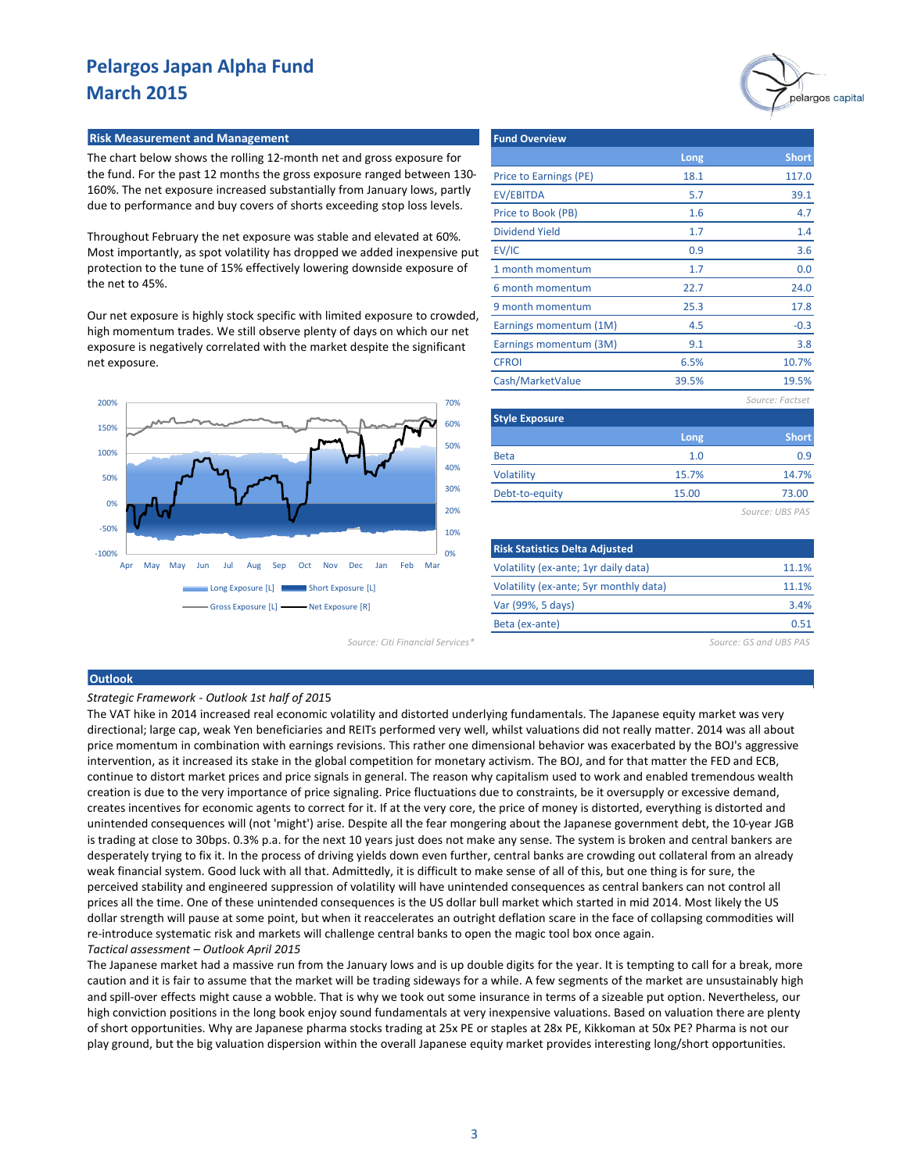### **Risk Measurement and Management**

The chart below shows the rolling 12-month net and gross exposure for the fund. For the past 12 months the gross exposure ranged between 130- 160%. The net exposure increased substantially from January lows, partly due to performance and buy covers of shorts exceeding stop loss levels.

Throughout February the net exposure was stable and elevated at 60%. Most importantly, as spot volatility has dropped we added inexpensive put protection to the tune of 15% effectively lowering downside exposure of the net to 45%.

Our net exposure is highly stock specific with limited exposure to crowded, high momentum trades. We still observe plenty of days on which our net exposure is negatively correlated with the market despite the significant net exposure.



| <b>Fund Overview</b>   |       |                 |
|------------------------|-------|-----------------|
|                        | Long  | <b>Short</b>    |
| Price to Earnings (PE) | 18.1  | 117.0           |
| <b>EV/EBITDA</b>       | 5.7   | 39.1            |
| Price to Book (PB)     | 1.6   | 4.7             |
| <b>Dividend Yield</b>  | 1.7   | 1.4             |
| EV/IC                  | 0.9   | 3.6             |
| 1 month momentum       | 1.7   | 0.0             |
| 6 month momentum       | 22.7  | 24.0            |
| 9 month momentum       | 25.3  | 17.8            |
| Earnings momentum (1M) | 4.5   | $-0.3$          |
| Earnings momentum (3M) | 9.1   | 3.8             |
| <b>CFROI</b>           | 6.5%  | 10.7%           |
| Cash/MarketValue       | 39.5% | 19.5%           |
|                        |       | Source: Factset |
| <b>Style Exposure</b>  |       |                 |
|                        | Long  | <b>Short</b>    |
| <b>Beta</b>            | 1.0   | 0.9             |

| <b>Beta</b>    |       | 0.9             |
|----------------|-------|-----------------|
| Volatility     | 15.7% | 14.7%           |
| Debt-to-equity | 15.00 | 73.00           |
|                |       | Source: UBS PAS |

| <b>Risk Statistics Delta Adjusted</b>  |       |
|----------------------------------------|-------|
| Volatility (ex-ante; 1yr daily data)   | 11.1% |
| Volatility (ex-ante; 5yr monthly data) | 11.1% |
| Var (99%, 5 days)                      | 3.4%  |
| Beta (ex-ante)                         | በ 51  |

*Source: Citi Financial Services\* Source: GS and UBS PAS*

### **Outlook**

#### *Strategic Framework - Outlook 1st half of 201*5

The VAT hike in 2014 increased real economic volatility and distorted underlying fundamentals. The Japanese equity market was very directional; large cap, weak Yen beneficiaries and REITs performed very well, whilst valuations did not really matter. 2014 was all about price momentum in combination with earnings revisions. This rather one dimensional behavior was exacerbated by the BOJ's aggressive intervention, as it increased its stake in the global competition for monetary activism. The BOJ, and for that matter the FED and ECB, continue to distort market prices and price signals in general. The reason why capitalism used to work and enabled tremendous wealth creation is due to the very importance of price signaling. Price fluctuations due to constraints, be it oversupply or excessive demand, creates incentives for economic agents to correct for it. If at the very core, the price of money is distorted, everything is distorted and unintended consequences will (not 'might') arise. Despite all the fear mongering about the Japanese government debt, the 10-year JGB is trading at close to 30bps. 0.3% p.a. for the next 10 years just does not make any sense. The system is broken and central bankers are desperately trying to fix it. In the process of driving yields down even further, central banks are crowding out collateral from an already weak financial system. Good luck with all that. Admittedly, it is difficult to make sense of all of this, but one thing is for sure, the perceived stability and engineered suppression of volatility will have unintended consequences as central bankers can not control all prices all the time. One of these unintended consequences is the US dollar bull market which started in mid 2014. Most likely the US dollar strength will pause at some point, but when it reaccelerates an outright deflation scare in the face of collapsing commodities will re-introduce systematic risk and markets will challenge central banks to open the magic tool box once again. *Tactical assessment – Outlook April 2015*

The Japanese market had a massive run from the January lows and is up double digits for the year. It is tempting to call for a break, more caution and it is fair to assume that the market will be trading sideways for a while. A few segments of the market are unsustainably high and spill-over effects might cause a wobble. That is why we took out some insurance in terms of a sizeable put option. Nevertheless, our high conviction positions in the long book enjoy sound fundamentals at very inexpensive valuations. Based on valuation there are plenty of short opportunities. Why are Japanese pharma stocks trading at 25x PE or staples at 28x PE, Kikkoman at 50x PE? Pharma is not our play ground, but the big valuation dispersion within the overall Japanese equity market provides interesting long/short opportunities.

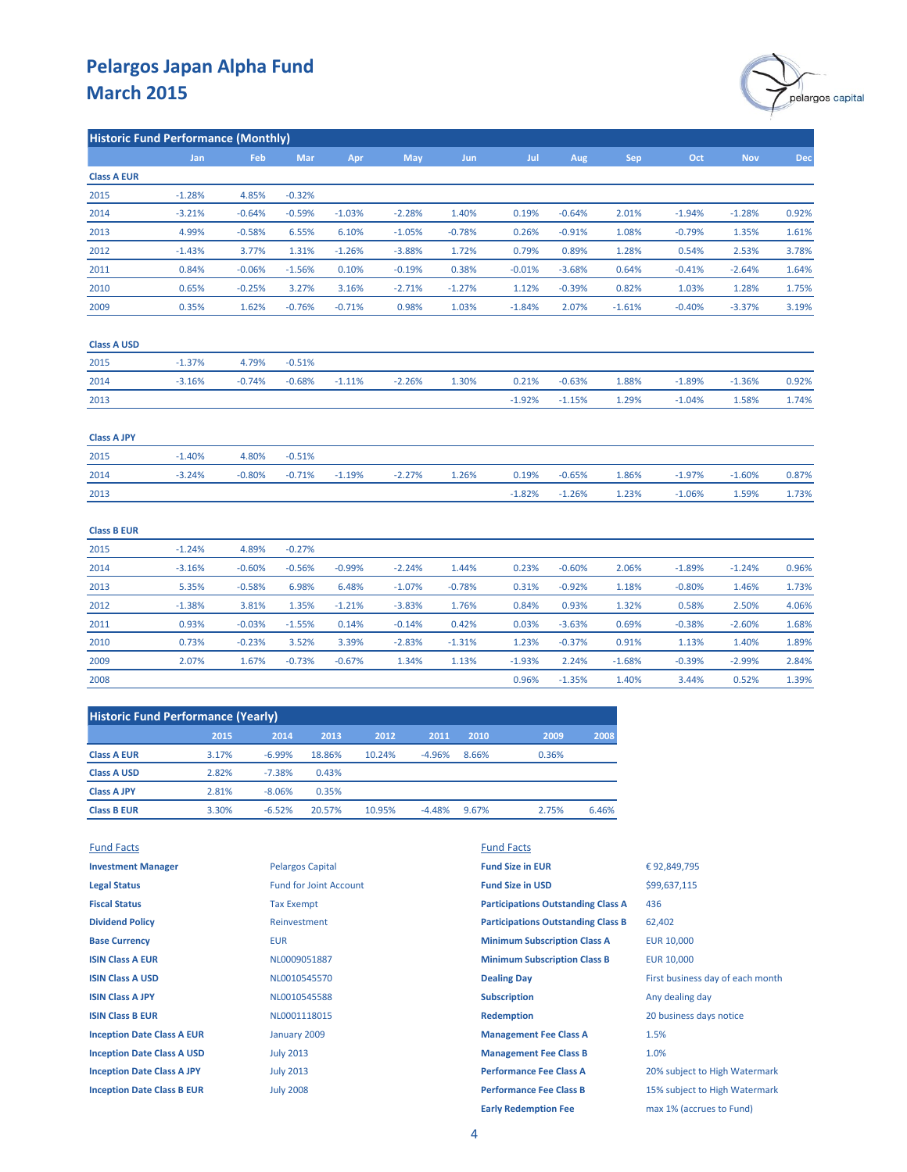

| <b>Historic Fund Performance (Monthly)</b> |            |            |          |          |            |            |          |          |            |          |            |            |
|--------------------------------------------|------------|------------|----------|----------|------------|------------|----------|----------|------------|----------|------------|------------|
|                                            | <b>Jan</b> | <b>Feb</b> | Mar      | Apr      | <b>May</b> | <b>Jun</b> | Jul      | Aug      | <b>Sep</b> | Oct      | <b>Nov</b> | <b>Dec</b> |
| <b>Class A EUR</b>                         |            |            |          |          |            |            |          |          |            |          |            |            |
| 2015                                       | $-1.28%$   | 4.85%      | $-0.32%$ |          |            |            |          |          |            |          |            |            |
| 2014                                       | $-3.21%$   | $-0.64%$   | $-0.59%$ | $-1.03%$ | $-2.28%$   | 1.40%      | 0.19%    | $-0.64%$ | 2.01%      | $-1.94%$ | $-1.28%$   | 0.92%      |
| 2013                                       | 4.99%      | $-0.58%$   | 6.55%    | 6.10%    | $-1.05%$   | $-0.78%$   | 0.26%    | $-0.91%$ | 1.08%      | $-0.79%$ | 1.35%      | 1.61%      |
| 2012                                       | $-1.43%$   | 3.77%      | 1.31%    | $-1.26%$ | $-3.88%$   | 1.72%      | 0.79%    | 0.89%    | 1.28%      | 0.54%    | 2.53%      | 3.78%      |
| 2011                                       | 0.84%      | $-0.06%$   | $-1.56%$ | 0.10%    | $-0.19%$   | 0.38%      | $-0.01%$ | $-3.68%$ | 0.64%      | $-0.41%$ | $-2.64%$   | 1.64%      |
| 2010                                       | 0.65%      | $-0.25%$   | 3.27%    | 3.16%    | $-2.71%$   | $-1.27%$   | 1.12%    | $-0.39%$ | 0.82%      | 1.03%    | 1.28%      | 1.75%      |
| 2009                                       | 0.35%      | 1.62%      | $-0.76%$ | $-0.71%$ | 0.98%      | 1.03%      | $-1.84%$ | 2.07%    | $-1.61%$   | $-0.40%$ | $-3.37%$   | 3.19%      |
| <b>Class A USD</b>                         |            |            |          |          |            |            |          |          |            |          |            |            |
| 2015                                       | $-1.37%$   | 4.79%      | $-0.51%$ |          |            |            |          |          |            |          |            |            |
| 2014                                       | $-3.16%$   | $-0.74%$   | $-0.68%$ | $-1.11%$ | $-2.26%$   | 1.30%      | 0.21%    | $-0.63%$ | 1.88%      | $-1.89%$ | $-1.36%$   | 0.92%      |
| 2013                                       |            |            |          |          |            |            | $-1.92%$ | $-1.15%$ | 1.29%      | $-1.04%$ | 1.58%      | 1.74%      |
| <b>Class A JPY</b>                         |            |            |          |          |            |            |          |          |            |          |            |            |
| 2015                                       | $-1.40%$   | 4.80%      | $-0.51%$ |          |            |            |          |          |            |          |            |            |
| 2014                                       | $-3.24%$   | $-0.80%$   | $-0.71%$ | $-1.19%$ | $-2.27%$   | 1.26%      | 0.19%    | $-0.65%$ | 1.86%      | $-1.97%$ | $-1.60%$   | 0.87%      |
| 2013                                       |            |            |          |          |            |            | $-1.82%$ | $-1.26%$ | 1.23%      | $-1.06%$ | 1.59%      | 1.73%      |
| <b>Class B EUR</b>                         |            |            |          |          |            |            |          |          |            |          |            |            |
| 2015                                       | $-1.24%$   | 4.89%      | $-0.27%$ |          |            |            |          |          |            |          |            |            |
| 2014                                       | $-3.16%$   | $-0.60%$   | $-0.56%$ | $-0.99%$ | $-2.24%$   | 1.44%      | 0.23%    | $-0.60%$ | 2.06%      | $-1.89%$ | $-1.24%$   | 0.96%      |
| 2013                                       | 5.35%      | $-0.58%$   | 6.98%    | 6.48%    | $-1.07%$   | $-0.78%$   | 0.31%    | $-0.92%$ | 1.18%      | $-0.80%$ | 1.46%      | 1.73%      |
| 2012                                       | $-1.38%$   | 3.81%      | 1.35%    | $-1.21%$ | $-3.83%$   | 1.76%      | 0.84%    | 0.93%    | 1.32%      | 0.58%    | 2.50%      | 4.06%      |
| 2011                                       | 0.93%      | $-0.03%$   | $-1.55%$ | 0.14%    | $-0.14%$   | 0.42%      | 0.03%    | $-3.63%$ | 0.69%      | $-0.38%$ | $-2.60%$   | 1.68%      |
| 2010                                       | 0.73%      | $-0.23%$   | 3.52%    | 3.39%    | $-2.83%$   | $-1.31%$   | 1.23%    | $-0.37%$ | 0.91%      | 1.13%    | 1.40%      | 1.89%      |
| 2009                                       | 2.07%      | 1.67%      | $-0.73%$ | $-0.67%$ | 1.34%      | 1.13%      | $-1.93%$ | 2.24%    | $-1.68%$   | $-0.39%$ | $-2.99%$   | 2.84%      |
| 2008                                       |            |            |          |          |            |            | 0.96%    | $-1.35%$ | 1.40%      | 3.44%    | 0.52%      | 1.39%      |

| <b>Historic Fund Performance (Yearly)</b> |       |          |        |        |          |       |       |       |  |
|-------------------------------------------|-------|----------|--------|--------|----------|-------|-------|-------|--|
|                                           | 2015  | 2014     | 2013   | 2012   | 2011     | 2010  | 2009  | 2008  |  |
| <b>Class A EUR</b>                        | 3.17% | $-6.99%$ | 18.86% | 10.24% | $-4.96%$ | 8.66% | 0.36% |       |  |
| <b>Class A USD</b>                        | 2.82% | $-7.38%$ | 0.43%  |        |          |       |       |       |  |
| <b>Class A JPY</b>                        | 2.81% | $-8.06%$ | 0.35%  |        |          |       |       |       |  |
| <b>Class B EUR</b>                        | 3.30% | $-6.52%$ | 20.57% | 10.95% | $-4.48%$ | 9.67% | 2.75% | 6.46% |  |

| <b>Fund Facts</b>                 |                               | <b>Fund Facts</b>                         |                                  |
|-----------------------------------|-------------------------------|-------------------------------------------|----------------------------------|
| <b>Investment Manager</b>         | <b>Pelargos Capital</b>       | <b>Fund Size in EUR</b>                   | €92,849,795                      |
| <b>Legal Status</b>               | <b>Fund for Joint Account</b> | <b>Fund Size in USD</b>                   | \$99,637,115                     |
| <b>Fiscal Status</b>              | <b>Tax Exempt</b>             | <b>Participations Outstanding Class A</b> | 436                              |
| <b>Dividend Policy</b>            | Reinvestment                  | <b>Participations Outstanding Class B</b> | 62,402                           |
| <b>Base Currency</b>              | <b>EUR</b>                    | <b>Minimum Subscription Class A</b>       | <b>EUR 10,000</b>                |
| <b>ISIN Class A EUR</b>           | NL0009051887                  | <b>Minimum Subscription Class B</b>       | EUR 10,000                       |
| <b>ISIN Class A USD</b>           | NL0010545570                  | <b>Dealing Day</b>                        | First business day of each month |
| <b>ISIN Class A JPY</b>           | NL0010545588                  | <b>Subscription</b>                       | Any dealing day                  |
| <b>ISIN Class B EUR</b>           | NL0001118015                  | <b>Redemption</b>                         | 20 business days notice          |
| <b>Inception Date Class A EUR</b> | January 2009                  | <b>Management Fee Class A</b>             | 1.5%                             |
| <b>Inception Date Class A USD</b> | <b>July 2013</b>              | <b>Management Fee Class B</b>             | 1.0%                             |
| <b>Inception Date Class A JPY</b> | <b>July 2013</b>              | <b>Performance Fee Class A</b>            | 20% subject to High Watermark    |
| <b>Inception Date Class B EUR</b> | <b>July 2008</b>              | <b>Performance Fee Class B</b>            | 15% subject to High Watermark    |
|                                   |                               | <b>Early Redemption Fee</b>               | max 1% (accrues to Fund)         |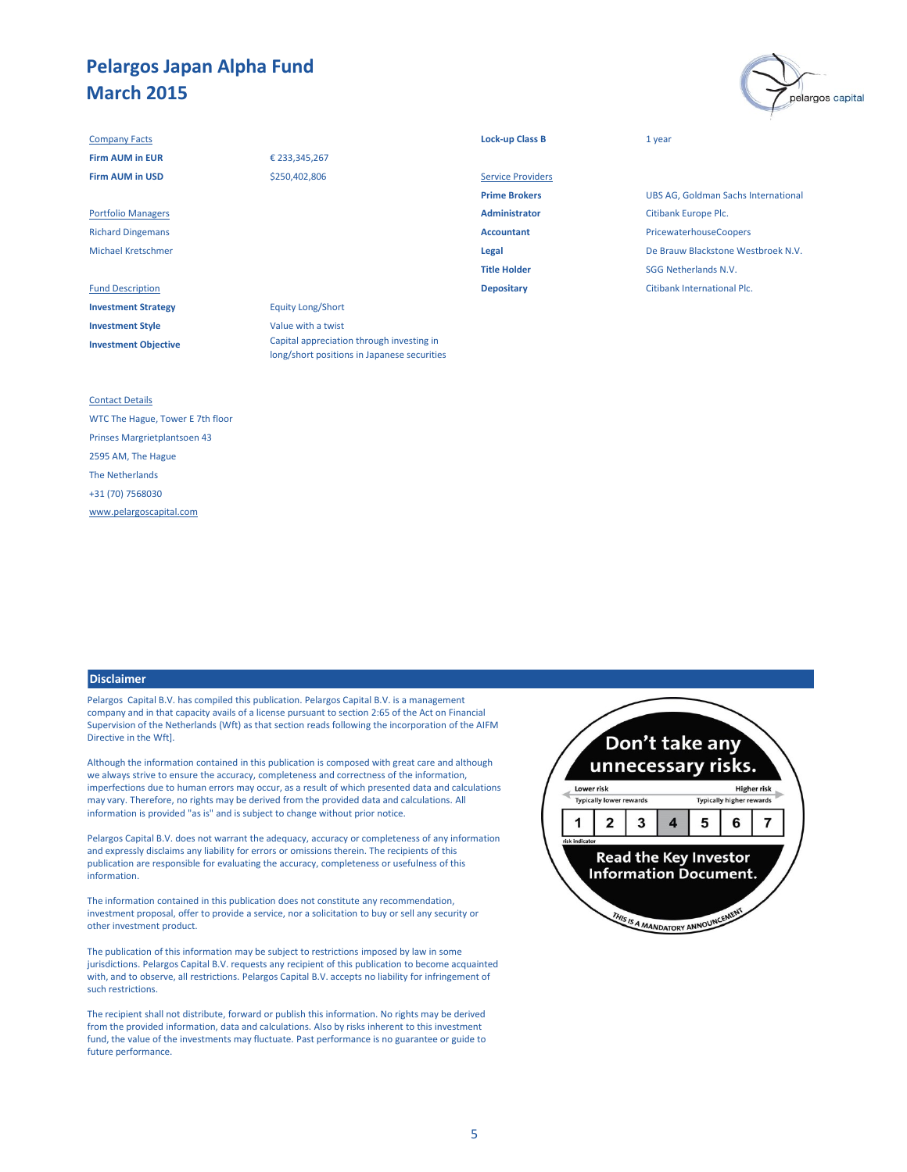#### **Company Facts Lock-up Class B** 1 year

**Investment Strategy** Equity Long/Short **Investment Style** Value with a twist **Investment Objective**

## € 233,345,267 \$250,402,806

Fund Description **Depositary** Citibank International Plc. Capital appreciation through investing in

long/short positions in Japanese securities

| € 233,345,267 |                          |                           |  |  |  |
|---------------|--------------------------|---------------------------|--|--|--|
| \$250,402,806 | <b>Service Providers</b> |                           |  |  |  |
|               | <b>Prime Brokers</b>     | <b>UBS AG, Goldman S</b>  |  |  |  |
|               | <b>Administrator</b>     | Citibank Europe Plc.      |  |  |  |
|               | <b>Accountant</b>        | PricewaterhouseCo         |  |  |  |
|               | Legal                    | De Brauw Blackston        |  |  |  |
|               | <b>Title Holder</b>      | <b>SGG Netherlands N.</b> |  |  |  |
|               |                          |                           |  |  |  |

**UBS AG, Goldman Sachs International** Richard Dingemans **Accountant** PricewaterhouseCoopers Michael Kretschmer **Legal** De Brauw Blackstone Westbroek N.V. **SGG Netherlands N.V.** 

pelargos capital

### Contact Details

WTC The Hague, Tower E 7th floor Prinses Margrietplantsoen 43 2595 AM, The Hague The Netherlands +31 (70) 7568030 [www.pelargoscapital.com](http://www.pelargoscapital.com/)

#### **Disclaimer**

Pelargos Capital B.V. has compiled this publication. Pelargos Capital B.V. is a management company and in that capacity avails of a license pursuant to section 2:65 of the Act on Financial Supervision of the Netherlands (Wft) as that section reads following the incorporation of the AIFM Directive in the Wft].

Although the information contained in this publication is composed with great care and although we always strive to ensure the accuracy, completeness and correctness of the information, imperfections due to human errors may occur, as a result of which presented data and calculations may vary. Therefore, no rights may be derived from the provided data and calculations. All information is provided "as is" and is subject to change without prior notice.

Pelargos Capital B.V. does not warrant the adequacy, accuracy or completeness of any information and expressly disclaims any liability for errors or omissions therein. The recipients of this publication are responsible for evaluating the accuracy, completeness or usefulness of this information.

The information contained in this publication does not constitute any recommendation, investment proposal, offer to provide a service, nor a solicitation to buy or sell any security or other investment product.

The publication of this information may be subject to restrictions imposed by law in some jurisdictions. Pelargos Capital B.V. requests any recipient of this publication to become acquainted with, and to observe, all restrictions. Pelargos Capital B.V. accepts no liability for infringement of such restrictions.

The recipient shall not distribute, forward or publish this information. No rights may be derived from the provided information, data and calculations. Also by risks inherent to this investment fund, the value of the investments may fluctuate. Past performance is no guarantee or guide to future performance.